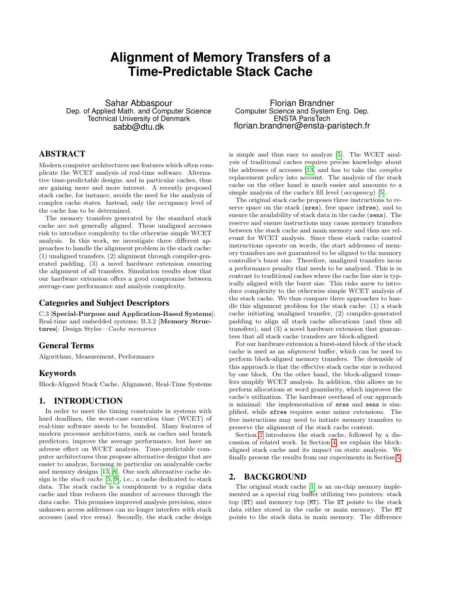# **Alignment of Memory Transfers of a Time-Predictable Stack Cache**

Sahar Abbaspour Dep. of Applied Math. and Computer Science Technical University of Denmark sabb@dtu.dk

# ABSTRACT

Modern computer architectures use features which often complicate the WCET analysis of real-time software. Alternative time-predictable designs, and in particular caches, thus are gaining more and more interest. A recently proposed stack cache, for instance, avoids the need for the analysis of complex cache states. Instead, only the occupancy level of the cache has to be determined.

The memory transfers generated by the standard stack cache are not generally aligned. These unaligned accesses risk to introduce complexity to the otherwise simple WCET analysis. In this work, we investigate three different approaches to handle the alignment problem in the stack cache: (1) unaligned transfers, (2) alignment through compiler-generated padding, (3) a novel hardware extension ensuring the alignment of all transfers. Simulation results show that our hardware extension offers a good compromise between average-case performance and analysis complexity.

#### Categories and Subject Descriptors

C.3 [Special-Purpose and Application-Based Systems]: Real-time and embedded systems; B.3.2 [Memory Structures]: Design Styles—Cache memories

## General Terms

Algorithms, Measurement, Performance

#### Keywords

Block-Aligned Stack Cache, Alignment, Real-Time Systems

# 1. INTRODUCTION

In order to meet the timing constraints in systems with hard deadlines, the worst-case execution time (WCET) of real-time software needs to be bounded. Many features of modern processor architectures, such as caches and branch predictors, improve the average performance, but have an adverse effect on WCET analysis. Time-predictable computer architectures thus propose alternative designs that are easier to analyze, focusing in particular on analyzable cache and memory designs [\[13,](#page-3-0) [8\]](#page-3-1). One such alternative cache design is the stack cache [\[5,](#page-3-2) [9\]](#page-3-3), i.e., a cache dedicated to stack data. The stack cache is a complement to a regular data cache and thus reduces the number of accesses through the data cache. This promises improved analysis precision, since unknown access addresses can no longer interfere with stack accesses (and vice versa). Secondly, the stack cache design

Florian Brandner Computer Science and System Eng. Dep. ENSTA ParisTech florian.brandner@ensta-paristech.fr

is simple and thus easy to analyze [\[5\]](#page-3-2). The WCET analysis of traditional caches requires precise knowledge about the addresses of accesses [\[13\]](#page-3-0) and has to take the complex replacement policy into account. The analysis of the stack cache on the other hand is much easier and amounts to a simple analysis of the cache's fill level (*occupancy*) [\[5\]](#page-3-2).

The original stack cache proposes three instructions to reserve space on the stack (sres), free space (sfree), and to ensure the availability of stack data in the cache (sens). The reserve and ensure instructions may cause memory transfers between the stack cache and main memory and thus are relevant for WCET analysis. Since these stack cache control instructions operate on words, the start addresses of memory transfers are not guaranteed to be aligned to the memory controller's burst size. Therefore, unaligned transfers incur a performance penalty that needs to be analyzed. This is in contrast to traditional caches where the cache line size is typically aligned with the burst size. This risks anew to introduce complexity to the otherwise simple WCET analysis of the stack cache. We thus compare three approaches to handle this alignment problem for the stack cache: (1) a stack cache initiating unaligned transfer, (2) compiler-generated padding to align all stack cache allocations (and thus all transfers), and (3) a novel hardware extension that guarantees that all stack cache transfers are block-aligned.

For our hardware extension a burst-sized block of the stack cache is used as an alignment buffer, which can be used to perform block-aligned memory transfers. The downside of this approach is that the effective stack cache size is reduced by one block. On the other hand, the block-aligned transfers simplify WCET analysis. In addition, this allows us to perform allocations at word granularity, which improves the cache's utilization. The hardware overhead of our approach is minimal: the implementation of sres and sens is simplified, while sfree requires some minor extensions. The free instructions may need to initiate memory transfers to preserve the alignment of the stack cache content.

Section [2](#page-0-0) introduces the stack cache, followed by a discussion of related work. In Section [4,](#page-1-0) we explain the blockaligned stack cache and its impact on static analysis. We finally present the results from our experiments in Section [5.](#page-2-0)

#### <span id="page-0-0"></span>2. BACKGROUND

The original stack cache [\[1\]](#page-3-4) is an on-chip memory implemented as a special ring buffer utilizing two pointers: stack top (ST) and memory top (MT). The ST points to the stack data either stored in the cache or main memory. The MT points to the stack data in main memory. The difference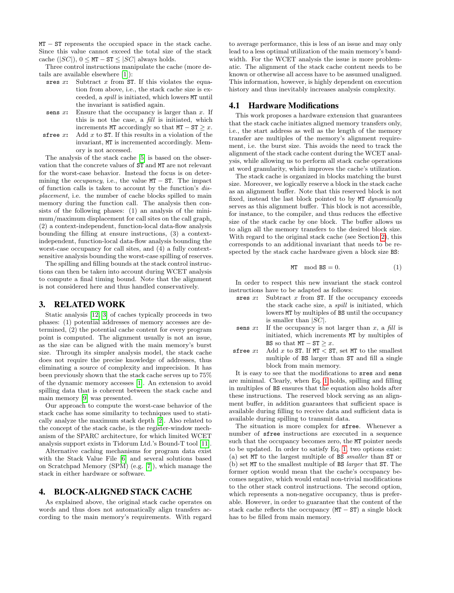MT – ST represents the occupied space in the stack cache. Since this value cannot exceed the total size of the stack cache ( $|SC|$ ),  $0 \leq MT - ST \leq |SC|$  always holds.

Three control instructions manipulate the cache (more details are available elsewhere [\[1\]](#page-3-4)):

- sres  $x$ : Subtract  $x$  from ST. If this violates the equation from above, i.e., the stack cache size is exceeded, a spill is initiated, which lowers MT until the invariant is satisfied again.
- sens  $x$ : Ensure that the occupancy is larger than  $x$ . If this is not the case, a fill is initiated, which increments MT accordingly so that  $MT - ST \geq x$ .
- sfree  $x$ : Add  $x$  to ST. If this results in a violation of the invariant, MT is incremented accordingly. Memory is not accessed.

The analysis of the stack cache [\[5\]](#page-3-2) is based on the observation that the concrete values of ST and MT are not relevant for the worst-case behavior. Instead the focus is on determining the *occupancy*, i.e., the value  $MT - ST$ . The impact of function calls is taken to account by the function's displacement, i.e. the number of cache blocks spilled to main memory during the function call. The analysis then consists of the following phases: (1) an analysis of the minimum/maximum displacement for call sites on the call graph, (2) a context-independent, function-local data-flow analysis bounding the filling at ensure instructions, (3) a contextindependent, function-local data-flow analysis bounding the worst-case occupancy for call sites, and (4) a fully contextsensitive analysis bounding the worst-case spilling of reserves.

The spilling and filling bounds at the stack control instructions can then be taken into account during WCET analysis to compute a final timing bound. Note that the alignment is not considered here and thus handled conservatively.

## 3. RELATED WORK

Static analysis [\[12,](#page-3-5) [3\]](#page-3-6) of caches typically proceeds in two phases: (1) potential addresses of memory accesses are determined, (2) the potential cache content for every program point is computed. The alignment usually is not an issue, as the size can be aligned with the main memory's burst size. Through its simpler analysis model, the stack cache does not require the precise knowledge of addresses, thus eliminating a source of complexity and imprecision. It has been previously shown that the stack cache serves up to 75% of the dynamic memory accesses [\[1\]](#page-3-4). An extension to avoid spilling data that is coherent between the stack cache and main memory [\[9\]](#page-3-3) was presented.

Our approach to compute the worst-case behavior of the stack cache has some similarity to techniques used to statically analyze the maximum stack depth [\[2\]](#page-3-7). Also related to the concept of the stack cache, is the register-window mechanism of the SPARC architecture, for which limited WCET analysis support exists in Tidorum Ltd.'s Bound-T tool [\[11\]](#page-3-8).

Alternative caching mechanisms for program data exist with the Stack Value File [\[6\]](#page-3-9) and several solutions based on Scratchpad Memory (SPM) (e.g. [\[7\]](#page-3-10)), which manage the stack in either hardware or software.

### <span id="page-1-0"></span>4. BLOCK-ALIGNED STACK CACHE

As explained above, the original stack cache operates on words and thus does not automatically align transfers according to the main memory's requirements. With regard to average performance, this is less of an issue and may only lead to a less optimal utilization of the main memory's bandwidth. For the WCET analysis the issue is more problematic. The alignment of the stack cache content needs to be known or otherwise all access have to be assumed unaligned. This information, however, is highly dependent on execution history and thus inevitably increases analysis complexity.

#### 4.1 Hardware Modifications

This work proposes a hardware extension that guarantees that the stack cache initiates aligned memory transfers only, i.e., the start address as well as the length of the memory transfer are multiples of the memory's alignment requirement, i.e. the burst size. This avoids the need to track the alignment of the stack cache content during the WCET analysis, while allowing us to perform all stack cache operations at word granularity, which improves the cache's utilization.

The stack cache is organized in blocks matching the burst size. Moreover, we logically reserve a block in the stack cache as an alignment buffer. Note that this reserved block is not fixed, instead the last block pointed to by MT dynamically serves as this alignment buffer. This block is not accessible, for instance, to the compiler, and thus reduces the effective size of the stack cache by one block. The buffer allows us to align all the memory transfers to the desired block size. With regard to the original stack cache (see Section [2\)](#page-0-0), this corresponds to an additional invariant that needs to be respected by the stack cache hardware given a block size BS:

<span id="page-1-1"></span>MT mod 
$$
BS = 0
$$
. (1)

In order to respect this new invariant the stack control instructions have to be adapted as follows:

- sres  $x$ : Subtract  $x$  from ST. If the occupancy exceeds the stack cache size, a spill is initiated, which lowers MT by multiples of BS until the occupancy is smaller than  $|SC|$ .
- sens  $x$ : If the occupancy is not larger than  $x$ , a fill is initiated, which increments MT by multiples of BS so that  $MT - ST > x$ .
- sfree  $x$ : Add  $x$  to ST. If  $MT < ST$ , set MT to the smallest multiple of BS larger than ST and fill a single block from main memory.

It is easy to see that the modifications to sres and sens are minimal. Clearly, when Eq. [1](#page-1-1) holds, spilling and filling in multiples of BS ensures that the equation also holds after these instructions. The reserved block serving as an alignment buffer, in addition guarantees that sufficient space is available during filling to receive data and sufficient data is available during spilling to transmit data.

The situation is more complex for sfree. Whenever a number of sfree instructions are executed in a sequence such that the occupancy becomes zero, the MT pointer needs to be updated. In order to satisfy Eq. [1,](#page-1-1) two options exist: (a) set MT to the largest multiple of BS smaller than ST or (b) set MT to the smallest multiple of BS larger that ST. The former option would mean that the cache's occupancy becomes negative, which would entail non-trivial modifications to the other stack control instructions. The second option, which represents a non-negative occupancy, thus is preferable. However, in order to guarantee that the content of the stack cache reflects the occupancy  $(MT - ST)$  a single block has to be filled from main memory.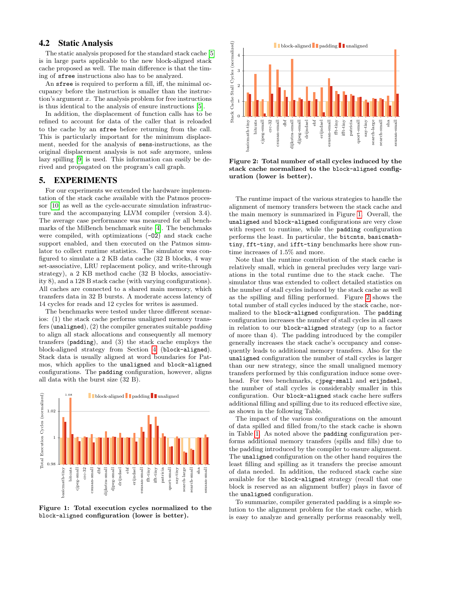## 4.2 Static Analysis

The static analysis proposed for the standard stack cache [\[5\]](#page-3-2) is in large parts applicable to the new block-aligned stack cache proposed as well. The main difference is that the timing of sfree instructions also has to be analyzed.

An sfree is required to perform a fill, iff, the minimal occupancy before the instruction is smaller than the instruction's argument  $x$ . The analysis problem for free instructions is thus identical to the analysis of ensure instructions [\[5\]](#page-3-2).

In addition, the displacement of function calls has to be refined to account for data of the caller that is reloaded to the cache by an sfree before returning from the call. This is particularly important for the minimum displacement, needed for the analysis of sens-instructions, as the original displacement analysis is not safe anymore, unless lazy spilling [\[9\]](#page-3-3) is used. This information can easily be derived and propagated on the program's call graph.

# <span id="page-2-0"></span>5. EXPERIMENTS

For our experiments we extended the hardware implementation of the stack cache available with the Patmos processor [\[10\]](#page-3-11) as well as the cycle-accurate simulation infrastructure and the accompanying LLVM compiler (version 3.4). The average case performance was measured for all benchmarks of the MiBench benchmark suite [\[4\]](#page-3-12). The benchmaks were compiled, with optimizations  $(-02)$  and stack cache support enabled, and then executed on the Patmos simulator to collect runtime statistics. The simulator was configured to simulate a 2 KB data cache (32 B blocks, 4 way set-associative, LRU replacement policy, and write-through strategy), a 2 KB method cache (32 B blocks, associativity 8), and a 128 B stack cache (with varying configurations). All caches are connected to a shared main memory, which transfers data in 32 B bursts. A moderate access latency of 14 cycles for reads and 12 cycles for writes is assumed.

The benchmarks were tested under three different scenarios: (1) the stack cache performs unaligned memory transfers (unaligned),  $(2)$  the compiler generates suitable *padding* to align all stack allocations and consequently all memory transfers (padding), and (3) the stack cache employs the block-aligned strategy from Section [4](#page-1-0) (block-aligned). Stack data is usually aligned at word boundaries for Patmos, which applies to the unaligned and block-aligned configurations. The padding configuration, however, aligns all data with the burst size (32 B).



<span id="page-2-1"></span>Figure 1: Total execution cycles normalized to the block-aligned configuration (lower is better).



<span id="page-2-2"></span>Figure 2: Total number of stall cycles induced by the stack cache normalized to the block-aligned configuration (lower is better).

The runtime impact of the various strategies to handle the alignment of memory transfers between the stack cache and the main memory is summarized in Figure [1.](#page-2-1) Overall, the unaligned and block-aligned configurations are very close with respect to runtime, while the padding configuration performs the least. In particular, the bitcnts, basicmathtiny, fft-tiny, and ifft-tiny benchmarks here show runtime increases of 1.5% and more.

Note that the runtime contribution of the stack cache is relatively small, which in general precludes very large variations in the total runtime due to the stack cache. The simulator thus was extended to collect detailed statistics on the number of stall cycles induced by the stack cache as well as the spilling and filling performed. Figure [2](#page-2-2) shows the total number of stall cycles induced by the stack cache, normalized to the block-aligned configuration. The padding configuration increases the number of stall cycles in all cases in relation to our block-aligned strategy (up to a factor of more than 4). The padding introduced by the compiler generally increases the stack cache's occupancy and consequently leads to additional memory transfers. Also for the unaligned configuration the number of stall cycles is larger than our new strategy, since the small unaligned memory transfers performed by this configuration induce some overhead. For two benchmarks, cjpeg-small and erijndael, the number of stall cycles is considerably smaller in this configuration. Our block-aligned stack cache here suffers additional filling and spilling due to its reduced effective size, as shown in the following Table.

The impact of the various configurations on the amount of data spilled and filled from/to the stack cache is shown in Table [1.](#page-3-13) As noted above the padding configuration performs additional memory transfers (spills and fills) due to the padding introduced by the compiler to ensure alignment. The unaligned configuration on the other hand requires the least filling and spilling as it transfers the precise amount of data needed. In addition, the reduced stack cache size available for the block-aligned strategy (recall that one block is reserved as an alignment buffer) plays in favor of the unaligned configuration.

To summarize, compiler generated padding is a simple solution to the alignment problem for the stack cache, which is easy to analyze and generally performs reasonably well,